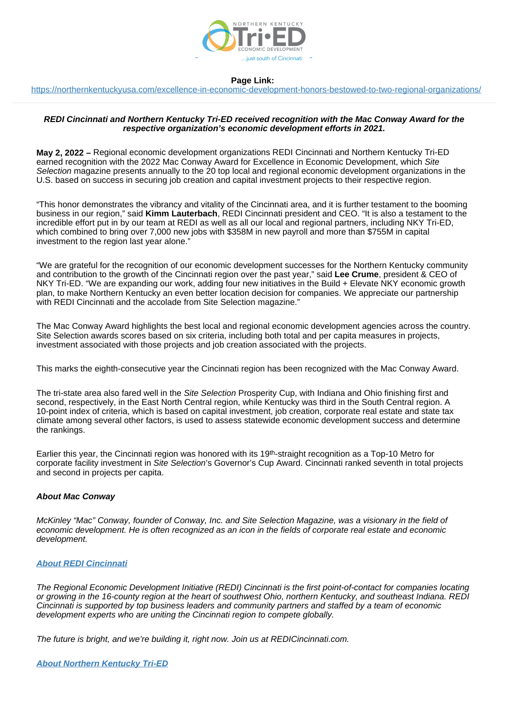

<https://northernkentuckyusa.com/excellence-in-economic-development-honors-bestowed-to-two-regional-organizations/>

### **REDI Cincinnati and Northern Kentucky Tri-ED received recognition with the Mac Conway Award for the respective organization's economic development efforts in 2021.**

**May 2, 2022 –** Regional economic development organizations REDI Cincinnati and Northern Kentucky Tri-ED earned recognition with the 2022 Mac Conway Award for Excellence in Economic Development, which Site Selection magazine presents annually to the 20 top local and regional economic development organizations in the U.S. based on success in securing job creation and capital investment projects to their respective region.

"This honor demonstrates the vibrancy and vitality of the Cincinnati area, and it is further testament to the booming business in our region," said **Kimm Lauterbach**, REDI Cincinnati president and CEO. "It is also a testament to the incredible effort put in by our team at REDI as well as all our local and regional partners, including NKY Tri-ED, which combined to bring over 7,000 new jobs with \$358M in new payroll and more than \$755M in capital investment to the region last year alone."

"We are grateful for the recognition of our economic development successes for the Northern Kentucky community and contribution to the growth of the Cincinnati region over the past year," said **Lee Crume**, president & CEO of NKY Tri-ED. "We are expanding our work, adding four new initiatives in the Build + Elevate NKY economic growth plan, to make Northern Kentucky an even better location decision for companies. We appreciate our partnership with REDI Cincinnati and the accolade from Site Selection magazine."

The Mac Conway Award highlights the best local and regional economic development agencies across the country. Site Selection awards scores based on six criteria, including both total and per capita measures in projects, investment associated with those projects and job creation associated with the projects.

This marks the eighth-consecutive year the Cincinnati region has been recognized with the Mac Conway Award.

The tri-state area also fared well in the Site Selection Prosperity Cup, with Indiana and Ohio finishing first and second, respectively, in the East North Central region, while Kentucky was third in the South Central region. A 10-point index of criteria, which is based on capital investment, job creation, corporate real estate and state tax climate among several other factors, is used to assess statewide economic development success and determine the rankings.

Earlier this year, the Cincinnati region was honored with its 19th-straight recognition as a Top-10 Metro for corporate facility investment in Site Selection's Governor's Cup Award. Cincinnati ranked seventh in total projects and second in projects per capita.

## **About Mac Conway**

McKinley "Mac" Conway, founder of Conway, Inc. and Site Selection Magazine, was a visionary in the field of economic development. He is often recognized as an icon in the fields of corporate real estate and economic development.

### **[About REDI Cincinnati](http://www.redicincinnati.com)**

The Regional Economic Development Initiative (REDI) Cincinnati is the first point-of-contact for companies locating or growing in the 16-county region at the heart of southwest Ohio, northern Kentucky, and southeast Indiana. REDI Cincinnati is supported by top business leaders and community partners and staffed by a team of economic development experts who are uniting the Cincinnati region to compete globally.

The future is bright, and we're building it, right now. Join us at REDICincinnati.com.

**[About Northern Kentucky Tri-ED](https://northernkentuckyusa.com/)**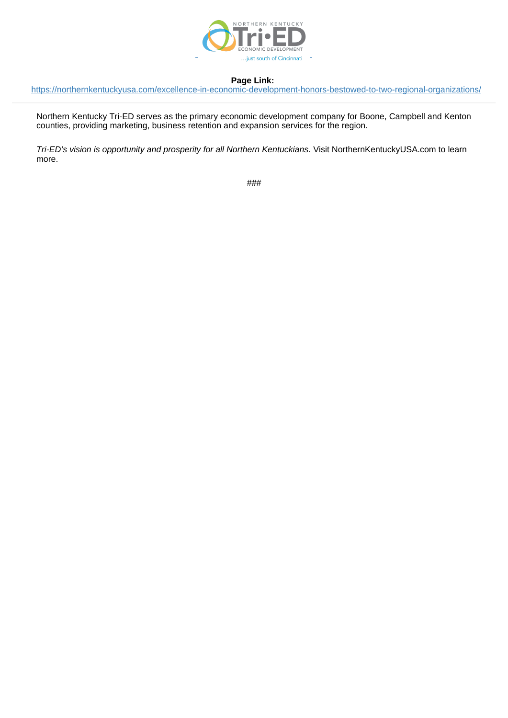

<https://northernkentuckyusa.com/excellence-in-economic-development-honors-bestowed-to-two-regional-organizations/>

Northern Kentucky Tri-ED serves as the primary economic development company for Boone, Campbell and Kenton counties, providing marketing, business retention and expansion services for the region.

Tri-ED's vision is opportunity and prosperity for all Northern Kentuckians. Visit NorthernKentuckyUSA.com to learn more.

###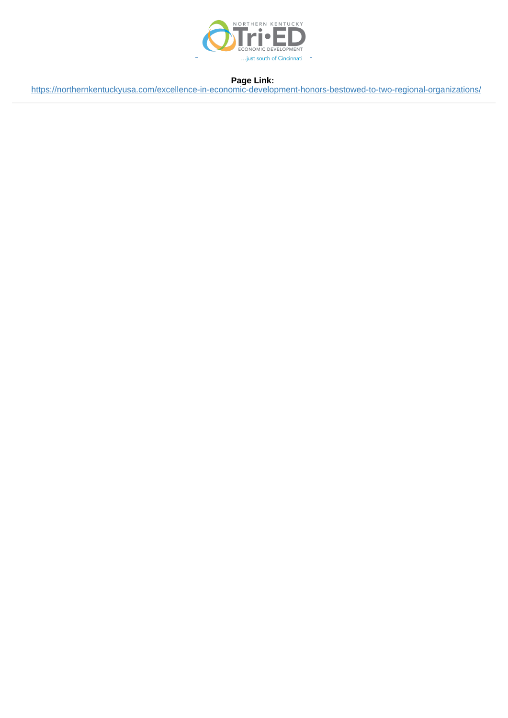

<https://northernkentuckyusa.com/excellence-in-economic-development-honors-bestowed-to-two-regional-organizations/>